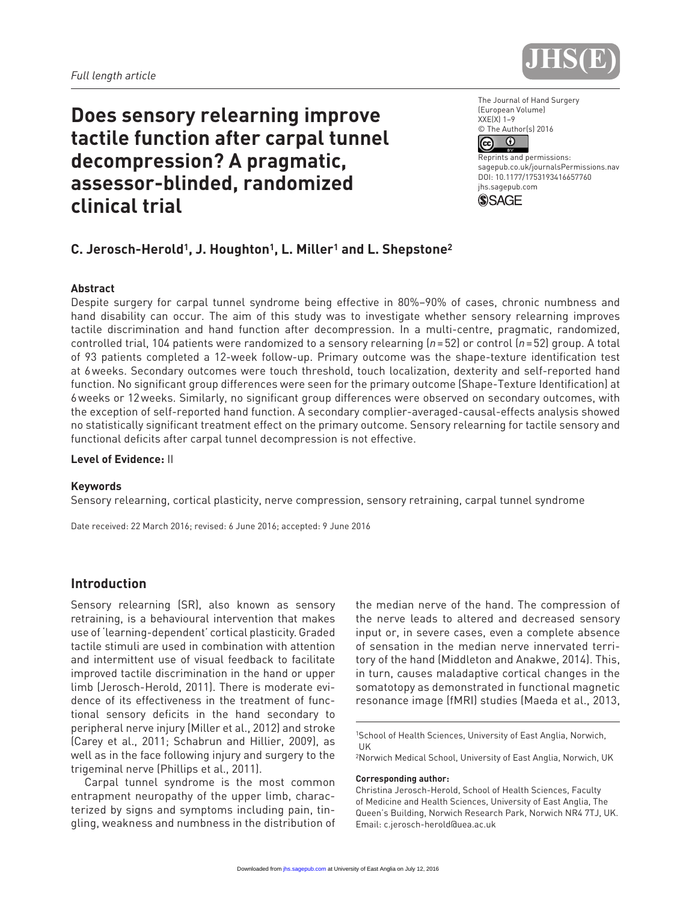

# **Does sensory relearning improve tactile function after carpal tunnel decompression? A pragmatic, assessor-blinded, randomized clinical trial**

The Journal of Hand Surgery (European Volume) XXE(X) 1–9 © The Author(s) 2016  $\odot$ (ශ)

Reprints and permissions: sagepub.co.uk/journalsPermissions.nav DOI: 10.1177/1753193416657760 jhs.sagepub.com



# **C. Jerosch-Herold1, J. Houghton1, L. Miller1 and L. Shepstone2**

#### **Abstract**

Despite surgery for carpal tunnel syndrome being effective in 80%–90% of cases, chronic numbness and hand disability can occur. The aim of this study was to investigate whether sensory relearning improves tactile discrimination and hand function after decompression. In a multi-centre, pragmatic, randomized, controlled trial, 104 patients were randomized to a sensory relearning (*n*=52) or control (*n*=52) group. A total of 93 patients completed a 12-week follow-up. Primary outcome was the shape-texture identification test at 6weeks. Secondary outcomes were touch threshold, touch localization, dexterity and self-reported hand function. No significant group differences were seen for the primary outcome (Shape-Texture Identification) at 6weeks or 12weeks. Similarly, no significant group differences were observed on secondary outcomes, with the exception of self-reported hand function. A secondary complier-averaged-causal-effects analysis showed no statistically significant treatment effect on the primary outcome. Sensory relearning for tactile sensory and functional deficits after carpal tunnel decompression is not effective.

**Level of Evidence:** II

#### **Keywords**

Sensory relearning, cortical plasticity, nerve compression, sensory retraining, carpal tunnel syndrome

Date received: 22 March 2016; revised: 6 June 2016; accepted: 9 June 2016

# **Introduction**

Sensory relearning (SR), also known as sensory retraining, is a behavioural intervention that makes use of 'learning-dependent' cortical plasticity. Graded tactile stimuli are used in combination with attention and intermittent use of visual feedback to facilitate improved tactile discrimination in the hand or upper limb (Jerosch-Herold, 2011). There is moderate evidence of its effectiveness in the treatment of functional sensory deficits in the hand secondary to peripheral nerve injury (Miller et al., 2012) and stroke (Carey et al., 2011; Schabrun and Hillier, 2009), as well as in the face following injury and surgery to the trigeminal nerve (Phillips et al., 2011).

Carpal tunnel syndrome is the most common entrapment neuropathy of the upper limb, characterized by signs and symptoms including pain, tingling, weakness and numbness in the distribution of the median nerve of the hand. The compression of the nerve leads to altered and decreased sensory input or, in severe cases, even a complete absence of sensation in the median nerve innervated territory of the hand (Middleton and Anakwe, 2014). This, in turn, causes maladaptive cortical changes in the somatotopy as demonstrated in functional magnetic resonance image (fMRI) studies (Maeda et al., 2013,

2Norwich Medical School, University of East Anglia, Norwich, UK

#### **Corresponding author:**

<sup>1</sup>School of Health Sciences, University of East Anglia, Norwich, UK

Christina Jerosch-Herold, School of Health Sciences, Faculty of Medicine and Health Sciences, University of East Anglia, The Queen's Building, Norwich Research Park, Norwich NR4 7TJ, UK. Email: [c.jerosch-herold@uea.ac.uk](mailto:c.jerosch-herold@uea.ac.uk)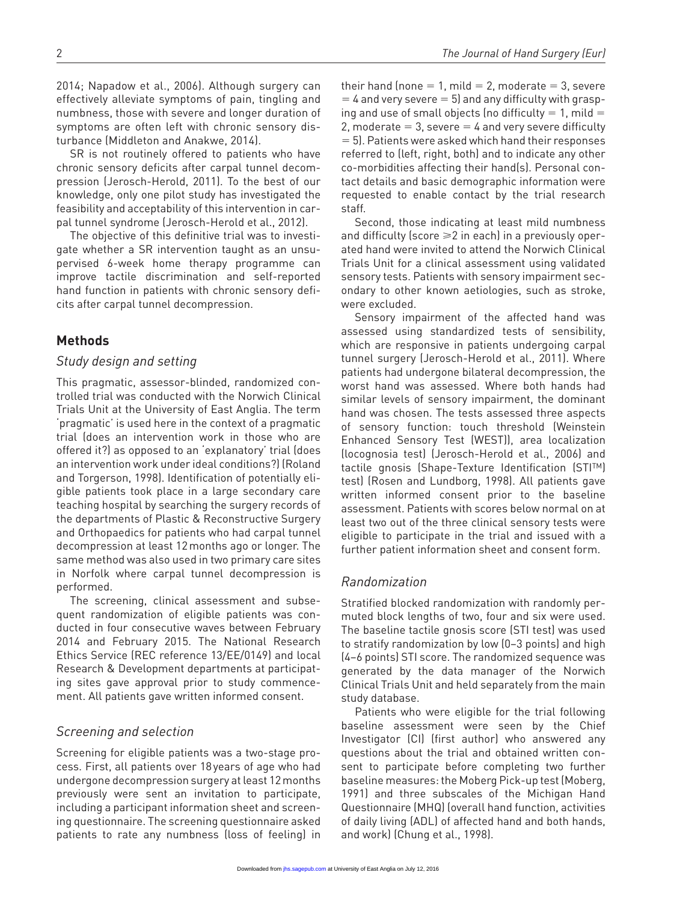2014; Napadow et al., 2006). Although surgery can effectively alleviate symptoms of pain, tingling and numbness, those with severe and longer duration of symptoms are often left with chronic sensory disturbance (Middleton and Anakwe, 2014).

SR is not routinely offered to patients who have chronic sensory deficits after carpal tunnel decompression (Jerosch-Herold, 2011). To the best of our knowledge, only one pilot study has investigated the feasibility and acceptability of this intervention in carpal tunnel syndrome (Jerosch-Herold et al., 2012).

The objective of this definitive trial was to investigate whether a SR intervention taught as an unsupervised 6-week home therapy programme can improve tactile discrimination and self-reported hand function in patients with chronic sensory deficits after carpal tunnel decompression.

# **Methods**

## *Study design and setting*

This pragmatic, assessor-blinded, randomized controlled trial was conducted with the Norwich Clinical Trials Unit at the University of East Anglia. The term 'pragmatic' is used here in the context of a pragmatic trial (does an intervention work in those who are offered it?) as opposed to an 'explanatory' trial (does an intervention work under ideal conditions?) (Roland and Torgerson, 1998). Identification of potentially eligible patients took place in a large secondary care teaching hospital by searching the surgery records of the departments of Plastic & Reconstructive Surgery and Orthopaedics for patients who had carpal tunnel decompression at least 12months ago or longer. The same method was also used in two primary care sites in Norfolk where carpal tunnel decompression is performed.

The screening, clinical assessment and subsequent randomization of eligible patients was conducted in four consecutive waves between February 2014 and February 2015. The National Research Ethics Service (REC reference 13/EE/0149) and local Research & Development departments at participating sites gave approval prior to study commencement. All patients gave written informed consent.

## *Screening and selection*

Screening for eligible patients was a two-stage process. First, all patients over 18years of age who had undergone decompression surgery at least 12months previously were sent an invitation to participate, including a participant information sheet and screening questionnaire. The screening questionnaire asked patients to rate any numbness (loss of feeling) in

their hand (none  $= 1$ , mild  $= 2$ , moderate  $= 3$ , severe  $=$  4 and very severe  $=$  5) and any difficulty with grasping and use of small objects (no difficulty  $= 1$ , mild  $=$ 2, moderate  $= 3$ , severe  $= 4$  and very severe difficulty = 5). Patients were asked which hand their responses referred to (left, right, both) and to indicate any other co-morbidities affecting their hand(s). Personal contact details and basic demographic information were requested to enable contact by the trial research staff.

Second, those indicating at least mild numbness and difficulty (score  $\geq 2$  in each) in a previously operated hand were invited to attend the Norwich Clinical Trials Unit for a clinical assessment using validated sensory tests. Patients with sensory impairment secondary to other known aetiologies, such as stroke, were excluded.

Sensory impairment of the affected hand was assessed using standardized tests of sensibility, which are responsive in patients undergoing carpal tunnel surgery (Jerosch-Herold et al., 2011). Where patients had undergone bilateral decompression, the worst hand was assessed. Where both hands had similar levels of sensory impairment, the dominant hand was chosen. The tests assessed three aspects of sensory function: touch threshold (Weinstein Enhanced Sensory Test (WEST)), area localization (locognosia test) (Jerosch-Herold et al., 2006) and tactile gnosis (Shape-Texture Identification (STITM) test) (Rosen and Lundborg, 1998). All patients gave written informed consent prior to the baseline assessment. Patients with scores below normal on at least two out of the three clinical sensory tests were eligible to participate in the trial and issued with a further patient information sheet and consent form.

# *Randomization*

Stratified blocked randomization with randomly permuted block lengths of two, four and six were used. The baseline tactile gnosis score (STI test) was used to stratify randomization by low (0–3 points) and high (4–6 points) STI score. The randomized sequence was generated by the data manager of the Norwich Clinical Trials Unit and held separately from the main study database.

Patients who were eligible for the trial following baseline assessment were seen by the Chief Investigator (CI) (first author) who answered any questions about the trial and obtained written consent to participate before completing two further baseline measures: the Moberg Pick-up test (Moberg, 1991) and three subscales of the Michigan Hand Questionnaire (MHQ) (overall hand function, activities of daily living (ADL) of affected hand and both hands, and work) (Chung et al., 1998).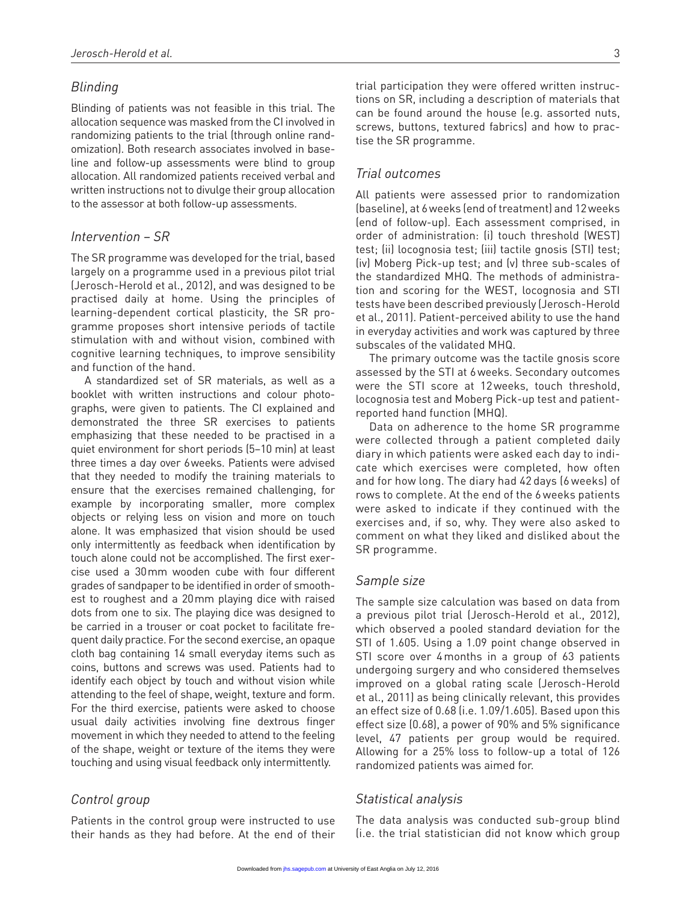# *Blinding*

Blinding of patients was not feasible in this trial. The allocation sequence was masked from the CI involved in randomizing patients to the trial (through online randomization). Both research associates involved in baseline and follow-up assessments were blind to group allocation. All randomized patients received verbal and written instructions not to divulge their group allocation to the assessor at both follow-up assessments.

## *Intervention – SR*

The SR programme was developed for the trial, based largely on a programme used in a previous pilot trial (Jerosch-Herold et al., 2012), and was designed to be practised daily at home. Using the principles of learning-dependent cortical plasticity, the SR programme proposes short intensive periods of tactile stimulation with and without vision, combined with cognitive learning techniques, to improve sensibility and function of the hand.

A standardized set of SR materials, as well as a booklet with written instructions and colour photographs, were given to patients. The CI explained and demonstrated the three SR exercises to patients emphasizing that these needed to be practised in a quiet environment for short periods (5–10 min) at least three times a day over 6weeks. Patients were advised that they needed to modify the training materials to ensure that the exercises remained challenging, for example by incorporating smaller, more complex objects or relying less on vision and more on touch alone. It was emphasized that vision should be used only intermittently as feedback when identification by touch alone could not be accomplished. The first exercise used a 30mm wooden cube with four different grades of sandpaper to be identified in order of smoothest to roughest and a 20mm playing dice with raised dots from one to six. The playing dice was designed to be carried in a trouser or coat pocket to facilitate frequent daily practice. For the second exercise, an opaque cloth bag containing 14 small everyday items such as coins, buttons and screws was used. Patients had to identify each object by touch and without vision while attending to the feel of shape, weight, texture and form. For the third exercise, patients were asked to choose usual daily activities involving fine dextrous finger movement in which they needed to attend to the feeling of the shape, weight or texture of the items they were touching and using visual feedback only intermittently.

## *Control group*

Patients in the control group were instructed to use their hands as they had before. At the end of their trial participation they were offered written instructions on SR, including a description of materials that can be found around the house (e.g. assorted nuts, screws, buttons, textured fabrics) and how to practise the SR programme.

# *Trial outcomes*

All patients were assessed prior to randomization (baseline), at 6weeks (end of treatment) and 12weeks (end of follow-up). Each assessment comprised, in order of administration: (i) touch threshold (WEST) test; (ii) locognosia test; (iii) tactile gnosis (STI) test; (iv) Moberg Pick-up test; and (v) three sub-scales of the standardized MHQ. The methods of administration and scoring for the WEST, locognosia and STI tests have been described previously (Jerosch-Herold et al., 2011). Patient-perceived ability to use the hand in everyday activities and work was captured by three subscales of the validated MHQ.

The primary outcome was the tactile gnosis score assessed by the STI at 6weeks. Secondary outcomes were the STI score at 12weeks, touch threshold, locognosia test and Moberg Pick-up test and patientreported hand function (MHQ).

Data on adherence to the home SR programme were collected through a patient completed daily diary in which patients were asked each day to indicate which exercises were completed, how often and for how long. The diary had 42 days (6 weeks) of rows to complete. At the end of the 6 weeks patients were asked to indicate if they continued with the exercises and, if so, why. They were also asked to comment on what they liked and disliked about the SR programme.

## *Sample size*

The sample size calculation was based on data from a previous pilot trial (Jerosch-Herold et al., 2012), which observed a pooled standard deviation for the STI of 1.605. Using a 1.09 point change observed in STI score over 4months in a group of 63 patients undergoing surgery and who considered themselves improved on a global rating scale (Jerosch-Herold et al., 2011) as being clinically relevant, this provides an effect size of 0.68 (i.e. 1.09/1.605). Based upon this effect size (0.68), a power of 90% and 5% significance level, 47 patients per group would be required. Allowing for a 25% loss to follow-up a total of 126 randomized patients was aimed for.

## *Statistical analysis*

The data analysis was conducted sub-group blind (i.e. the trial statistician did not know which group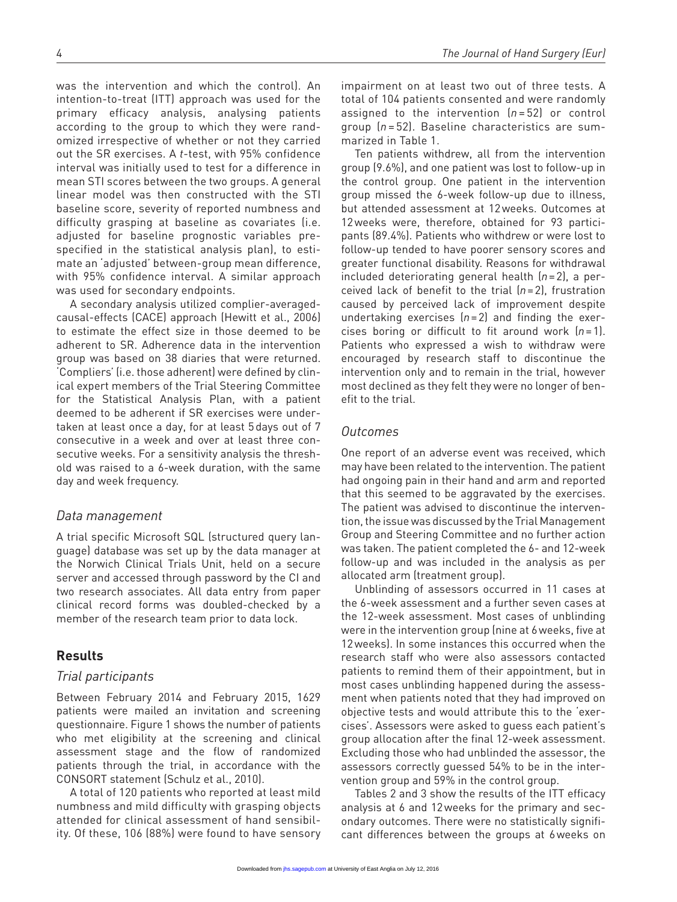was the intervention and which the control). An intention-to-treat (ITT) approach was used for the primary efficacy analysis, analysing patients according to the group to which they were randomized irrespective of whether or not they carried out the SR exercises. A *t*-test, with 95% confidence interval was initially used to test for a difference in mean STI scores between the two groups. A general linear model was then constructed with the STI baseline score, severity of reported numbness and difficulty grasping at baseline as covariates (i.e. adjusted for baseline prognostic variables prespecified in the statistical analysis plan), to estimate an 'adjusted' between-group mean difference, with 95% confidence interval. A similar approach was used for secondary endpoints.

A secondary analysis utilized complier-averagedcausal-effects (CACE) approach (Hewitt et al., 2006) to estimate the effect size in those deemed to be adherent to SR. Adherence data in the intervention group was based on 38 diaries that were returned. 'Compliers' (i.e. those adherent) were defined by clinical expert members of the Trial Steering Committee for the Statistical Analysis Plan, with a patient deemed to be adherent if SR exercises were undertaken at least once a day, for at least 5days out of 7 consecutive in a week and over at least three consecutive weeks. For a sensitivity analysis the threshold was raised to a 6-week duration, with the same day and week frequency.

#### *Data management*

A trial specific Microsoft SQL (structured query language) database was set up by the data manager at the Norwich Clinical Trials Unit, held on a secure server and accessed through password by the CI and two research associates. All data entry from paper clinical record forms was doubled-checked by a member of the research team prior to data lock.

## **Results**

### *Trial participants*

Between February 2014 and February 2015, 1629 patients were mailed an invitation and screening questionnaire. Figure 1 shows the number of patients who met eligibility at the screening and clinical assessment stage and the flow of randomized patients through the trial, in accordance with the CONSORT statement (Schulz et al., 2010).

A total of 120 patients who reported at least mild numbness and mild difficulty with grasping objects attended for clinical assessment of hand sensibility. Of these, 106 (88%) were found to have sensory

impairment on at least two out of three tests. A total of 104 patients consented and were randomly assigned to the intervention (*n* = 52) or control group (*n* = 52). Baseline characteristics are summarized in Table 1.

Ten patients withdrew, all from the intervention group (9.6%), and one patient was lost to follow-up in the control group. One patient in the intervention group missed the 6-week follow-up due to illness, but attended assessment at 12weeks. Outcomes at 12weeks were, therefore, obtained for 93 participants (89.4%). Patients who withdrew or were lost to follow-up tended to have poorer sensory scores and greater functional disability. Reasons for withdrawal included deteriorating general health (*n*=2), a perceived lack of benefit to the trial (*n*=2), frustration caused by perceived lack of improvement despite undertaking exercises (*n*=2) and finding the exercises boring or difficult to fit around work (*n*=1). Patients who expressed a wish to withdraw were encouraged by research staff to discontinue the intervention only and to remain in the trial, however most declined as they felt they were no longer of benefit to the trial.

## *Outcomes*

One report of an adverse event was received, which may have been related to the intervention. The patient had ongoing pain in their hand and arm and reported that this seemed to be aggravated by the exercises. The patient was advised to discontinue the intervention, the issue was discussed by the Trial Management Group and Steering Committee and no further action was taken. The patient completed the 6- and 12-week follow-up and was included in the analysis as per allocated arm (treatment group).

Unblinding of assessors occurred in 11 cases at the 6-week assessment and a further seven cases at the 12-week assessment. Most cases of unblinding were in the intervention group (nine at 6weeks, five at 12weeks). In some instances this occurred when the research staff who were also assessors contacted patients to remind them of their appointment, but in most cases unblinding happened during the assessment when patients noted that they had improved on objective tests and would attribute this to the 'exercises'. Assessors were asked to guess each patient's group allocation after the final 12-week assessment. Excluding those who had unblinded the assessor, the assessors correctly guessed 54% to be in the intervention group and 59% in the control group.

Tables 2 and 3 show the results of the ITT efficacy analysis at 6 and 12weeks for the primary and secondary outcomes. There were no statistically significant differences between the groups at 6weeks on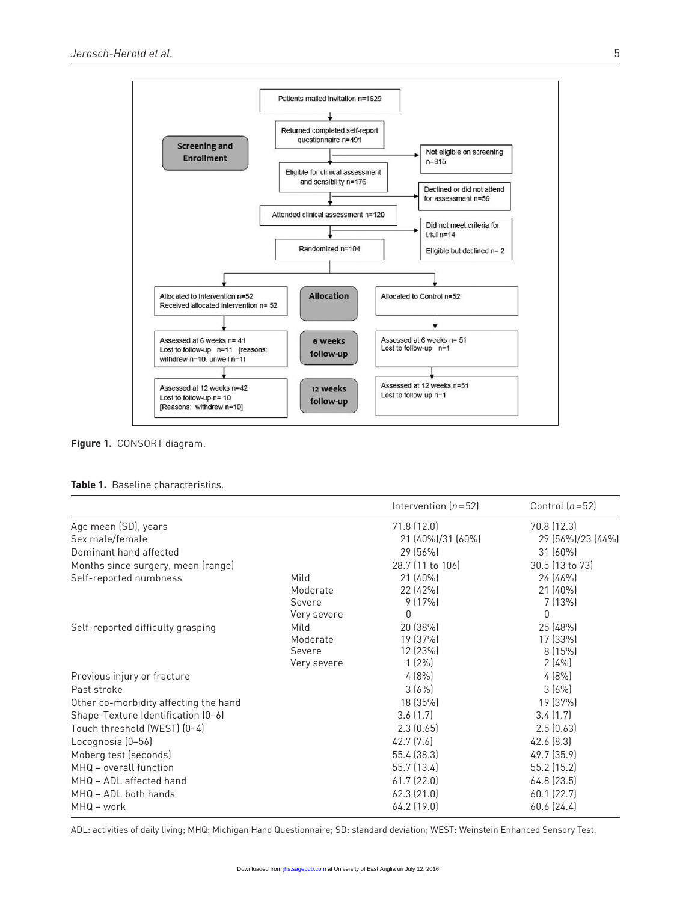

**Figure 1.** CONSORT diagram.

|  | <b>Table 1.</b> Baseline characteristics. |  |  |
|--|-------------------------------------------|--|--|
|--|-------------------------------------------|--|--|

|                                       |                                           | Intervention $(n=52)$                        | Control $(n=52)$                        |
|---------------------------------------|-------------------------------------------|----------------------------------------------|-----------------------------------------|
| Age mean (SD), years                  |                                           | 71.8(12.0)                                   | 70.8 (12.3)                             |
| Sex male/female                       |                                           | 21 (40%)/31 (60%)                            | 29 (56%)/23 (44%)                       |
| Dominant hand affected                |                                           | 29 (56%)                                     | $31(60\%)$                              |
| Months since surgery, mean (range)    |                                           | 28.7 (11 to 106)                             | 30.5 (13 to 73)                         |
| Self-reported numbness                | Mild<br>Moderate<br>Severe<br>Very severe | $21(40\%)$<br>22 (42%)<br>9(17%)<br>0        | 24 (46%)<br>$21(40\%)$<br>7(13%)<br>0   |
| Self-reported difficulty grasping     | Mild<br>Moderate<br>Severe<br>Very severe | 20 (38%)<br>19 (37%)<br>12 (23%)<br>$1(2\%)$ | 25 (48%)<br>17 (33%)<br>8(15%)<br>2(4%) |
| Previous injury or fracture           |                                           | 4(8%)                                        | 4(8%)                                   |
| Past stroke                           |                                           | 3(6%)                                        | 3(6%)                                   |
| Other co-morbidity affecting the hand |                                           | 18 (35%)                                     | 19 (37%)                                |
| Shape-Texture Identification (0-6)    |                                           | 3.6(1.7)                                     | 3.4(1.7)                                |
| Touch threshold (WEST) (0-4)          |                                           | 2.3(0.65)                                    | 2.5(0.63)                               |
| Locognosia (0-56)                     |                                           | 42.7(7.6)                                    | 42.6(8.3)                               |
| Moberg test (seconds)                 |                                           | 55.4 (38.3)                                  | 49.7 (35.9)                             |
| MHQ - overall function                |                                           | 55.7 (13.4)                                  | 55.2 (15.2)                             |
| MHQ - ADL affected hand               |                                           | 61.7(22.0)                                   | 64.8 (23.5)                             |
| MHQ - ADL both hands<br>MHQ - work    |                                           | $62.3$ $(21.0)$<br>$64.2$ (19.0)             | 60.1 (22.7)<br>60.6(24.4)               |

ADL: activities of daily living; MHQ: Michigan Hand Questionnaire; SD: standard deviation; WEST: Weinstein Enhanced Sensory Test.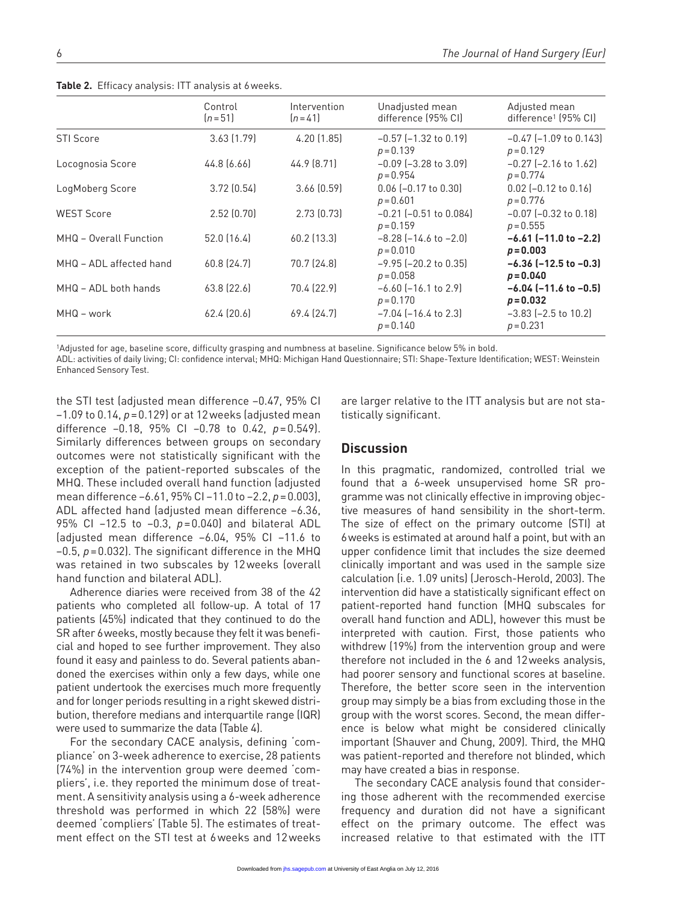| Control<br>$[n=51]$ | Intervention<br>$[n=41]$ | Unadjusted mean<br>difference (95% CI)       | Adjusted mean<br>difference <sup>1</sup> (95% CI) |
|---------------------|--------------------------|----------------------------------------------|---------------------------------------------------|
| 3.63(1.79)          | 4.20(1.85)               | $-0.57$ ( $-1.32$ to 0.19)<br>$p = 0.139$    | $-0.47$ ( $-1.09$ to 0.143)<br>$p = 0.129$        |
| 44.8 (6.66)         | 44.9 (8.71)              | $-0.09$ $[-3.28$ to 3.09]<br>$p = 0.954$     | $-0.27$ ( $-2.16$ to 1.62)<br>$p = 0.774$         |
| 3.72(0.54)          | $3.66$ $(0.59)$          | $0.06$ $[-0.17$ to $0.30]$<br>$p = 0.601$    | $0.02$ (-0.12 to 0.16)<br>$p = 0.776$             |
| 2.52(0.70)          | 2.73(0.73)               | $-0.21$ ( $-0.51$ to 0.084)<br>$p = 0.159$   | $-0.07$ ( $-0.32$ to 0.18)<br>$p = 0.555$         |
| $52.0$ (16.4)       | 60.2 (13.3)              | $-8.28$ ( $-14.6$ to $-2.0$ )<br>$p = 0.010$ | $-6.61$ ( $-11.0$ to $-2.2$ )<br>$p = 0.003$      |
| 60.8 (24.7)         | 70.7 (24.8)              | $-9.95$ ( $-20.2$ to 0.35)<br>$p = 0.058$    | $-6.36$ ( $-12.5$ to $-0.3$ )<br>$p = 0.040$      |
| 63.8 (22.6)         | 70.4 (22.9)              | $-6.60$ ( $-16.1$ to 2.9)<br>$p = 0.170$     | $-6.04$ ( $-11.6$ to $-0.5$ )<br>$p = 0.032$      |
| 62.4(20.6)          | 69.4 (24.7)              | $-7.04$ ( $-16.4$ to 2.3)<br>$p = 0.140$     | $-3.83$ ( $-2.5$ to 10.2)<br>$p = 0.231$          |
|                     |                          |                                              |                                                   |

**Table 2.** Efficacy analysis: ITT analysis at 6weeks.

1Adjusted for age, baseline score, difficulty grasping and numbness at baseline. Significance below 5% in bold.

ADL: activities of daily living; CI: confidence interval; MHQ: Michigan Hand Questionnaire; STI: Shape-Texture Identification; WEST: Weinstein Enhanced Sensory Test.

the STI test (adjusted mean difference −0.47, 95% CI −1.09 to 0.14, *p*=0.129) or at 12weeks (adjusted mean difference −0.18, 95% CI −0.78 to 0.42, *p*=0.549). Similarly differences between groups on secondary outcomes were not statistically significant with the exception of the patient-reported subscales of the MHQ. These included overall hand function (adjusted mean difference −6.61, 95% CI −11.0 to −2.2, *p*=0.003), ADL affected hand (adjusted mean difference −6.36, 95% CI −12.5 to −0.3, *p*=0.040) and bilateral ADL (adjusted mean difference −6.04, 95% CI −11.6 to –0.5, *p*=0.032). The significant difference in the MHQ was retained in two subscales by 12weeks (overall hand function and bilateral ADL).

Adherence diaries were received from 38 of the 42 patients who completed all follow-up. A total of 17 patients (45%) indicated that they continued to do the SR after 6weeks, mostly because they felt it was beneficial and hoped to see further improvement. They also found it easy and painless to do. Several patients abandoned the exercises within only a few days, while one patient undertook the exercises much more frequently and for longer periods resulting in a right skewed distribution, therefore medians and interquartile range (IQR) were used to summarize the data (Table 4).

For the secondary CACE analysis, defining 'compliance' on 3-week adherence to exercise, 28 patients (74%) in the intervention group were deemed 'compliers', i.e. they reported the minimum dose of treatment. A sensitivity analysis using a 6-week adherence threshold was performed in which 22 (58%) were deemed 'compliers' (Table 5). The estimates of treatment effect on the STI test at 6weeks and 12weeks

are larger relative to the ITT analysis but are not statistically significant.

## **Discussion**

In this pragmatic, randomized, controlled trial we found that a 6-week unsupervised home SR programme was not clinically effective in improving objective measures of hand sensibility in the short-term. The size of effect on the primary outcome (STI) at 6weeks is estimated at around half a point, but with an upper confidence limit that includes the size deemed clinically important and was used in the sample size calculation (i.e. 1.09 units) (Jerosch-Herold, 2003). The intervention did have a statistically significant effect on patient-reported hand function (MHQ subscales for overall hand function and ADL), however this must be interpreted with caution. First, those patients who withdrew (19%) from the intervention group and were therefore not included in the 6 and 12weeks analysis, had poorer sensory and functional scores at baseline. Therefore, the better score seen in the intervention group may simply be a bias from excluding those in the group with the worst scores. Second, the mean difference is below what might be considered clinically important (Shauver and Chung, 2009). Third, the MHQ was patient-reported and therefore not blinded, which may have created a bias in response.

The secondary CACE analysis found that considering those adherent with the recommended exercise frequency and duration did not have a significant effect on the primary outcome. The effect was increased relative to that estimated with the ITT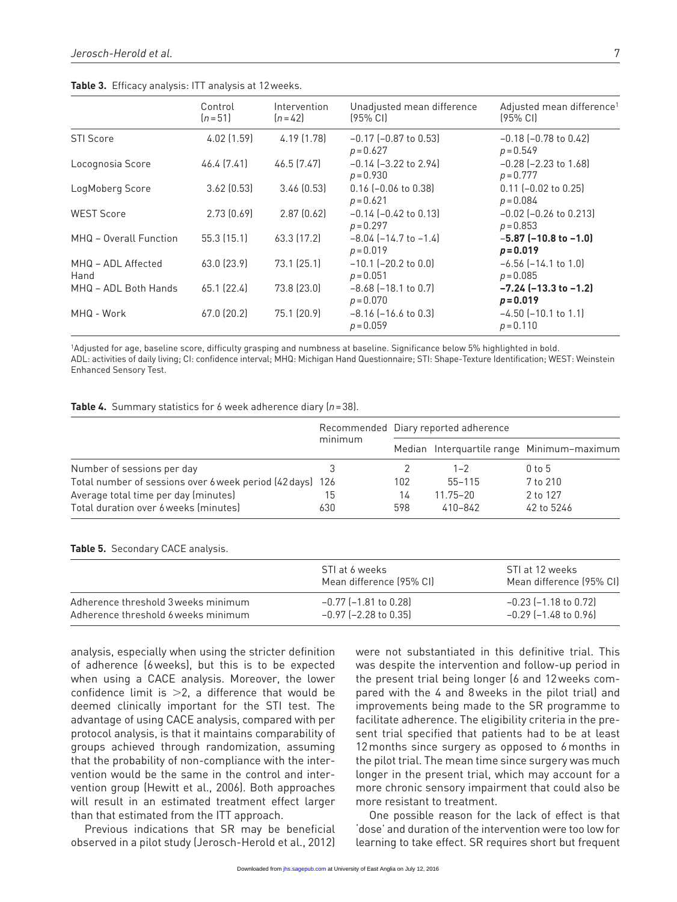|                            | Control<br>$[n=51]$ | Intervention<br>$[n=42]$ | Unadjusted mean difference<br>$(95\% \text{ C})$ | Adjusted mean difference <sup>1</sup><br>$(95\% \text{ C})$ |
|----------------------------|---------------------|--------------------------|--------------------------------------------------|-------------------------------------------------------------|
| <b>STI Score</b>           | 4.02 (1.59)         | 4.19 (1.78)              | $-0.17$ ( $-0.87$ to 0.53)<br>$p = 0.627$        | $-0.18$ $(-0.78$ to $0.42)$<br>$p = 0.549$                  |
| Locognosia Score           | 46.4 (7.41)         | 46.5 (7.47)              | $-0.14$ ( $-3.22$ to 2.94)<br>$p = 0.930$        | $-0.28$ ( $-2.23$ to 1.68)<br>$p = 0.777$                   |
| LogMoberg Score            | 3.62(0.53)          | 3.46(0.53)               | $0.16$ (-0.06 to 0.38)<br>$p = 0.621$            | $0.11$ (-0.02 to 0.25)<br>$p = 0.084$                       |
| <b>WEST Score</b>          | 2.73(0.69)          | 2.87(0.62)               | $-0.14$ ( $-0.42$ to 0.13)<br>$p = 0.297$        | $-0.02$ ( $-0.26$ to 0.213)<br>$p = 0.853$                  |
| MHQ - Overall Function     | 55.3(15.1)          | 63.3 (17.2)              | $-8.04$ ( $-14.7$ to $-1.4$ )<br>$p = 0.019$     | $-5.87$ ( $-10.8$ to $-1.0$ )<br>$p = 0.019$                |
| MHQ - ADL Affected<br>Hand | 63.0 (23.9)         | 73.1 (25.1)              | $-10.1$ ( $-20.2$ to 0.0)<br>$p = 0.051$         | $-6.56$ $(-14.1$ to $1.0)$<br>$p = 0.085$                   |
| MHQ - ADL Both Hands       | 65.1(22.4)          | 73.8 (23.0)              | $-8.68$ ( $-18.1$ to 0.7)<br>$p = 0.070$         | $-7.24$ ( $-13.3$ to $-1.2$ )<br>$p = 0.019$                |
| MHQ - Work                 | $67.0$ (20.2)       | 75.1 (20.9)              | $-8.16$ ( $-16.6$ to 0.3)<br>$p = 0.059$         | $-4.50$ ( $-10.1$ to 1.1)<br>$p = 0.110$                    |

**Table 3.** Efficacy analysis: ITT analysis at 12weeks.

1Adjusted for age, baseline score, difficulty grasping and numbness at baseline. Significance below 5% highlighted in bold. ADL: activities of daily living; CI: confidence interval; MHQ: Michigan Hand Questionnaire; STI: Shape-Texture Identification; WEST: Weinstein Enhanced Sensory Test.

#### **Table 4.** Summary statistics for 6 week adherence diary (*n*=38).

|                                                           | minimum | Recommended Diary reported adherence |              |                                            |
|-----------------------------------------------------------|---------|--------------------------------------|--------------|--------------------------------------------|
|                                                           |         |                                      |              | Median Interquartile range Minimum-maximum |
| Number of sessions per day                                |         |                                      | $1 - 2$      | $0$ to $5$                                 |
| Total number of sessions over 6 week period (42 days) 126 |         | 102                                  | $55 - 115$   | 7 to 210                                   |
| Average total time per day (minutes)                      | 15      | 14                                   | $11.75 - 20$ | 2 to 127                                   |
| Total duration over 6 weeks (minutes)                     | 630     | 598                                  | 410-842      | 42 to 5246                                 |

#### **Table 5.** Secondary CACE analysis.

|                                     | STI at 6 weeks<br>Mean difference (95% CI) | STI at 12 weeks<br>Mean difference (95% CI) |
|-------------------------------------|--------------------------------------------|---------------------------------------------|
| Adherence threshold 3 weeks minimum | $-0.77$ (-1.81 to 0.28)                    | $-0.23$ (-1.18 to 0.72)                     |
| Adherence threshold 6 weeks minimum | $-0.97$ (-2.28 to 0.35)                    | $-0.29$ ( $-1.48$ to 0.96)                  |

analysis, especially when using the stricter definition of adherence (6weeks), but this is to be expected when using a CACE analysis. Moreover, the lower confidence limit is  $>2$ , a difference that would be deemed clinically important for the STI test. The advantage of using CACE analysis, compared with per protocol analysis, is that it maintains comparability of groups achieved through randomization, assuming that the probability of non-compliance with the intervention would be the same in the control and intervention group (Hewitt et al., 2006). Both approaches will result in an estimated treatment effect larger than that estimated from the ITT approach.

Previous indications that SR may be beneficial observed in a pilot study (Jerosch-Herold et al., 2012) were not substantiated in this definitive trial. This was despite the intervention and follow-up period in the present trial being longer (6 and 12weeks compared with the 4 and 8weeks in the pilot trial) and improvements being made to the SR programme to facilitate adherence. The eligibility criteria in the present trial specified that patients had to be at least 12months since surgery as opposed to 6months in the pilot trial. The mean time since surgery was much longer in the present trial, which may account for a more chronic sensory impairment that could also be more resistant to treatment.

One possible reason for the lack of effect is that 'dose' and duration of the intervention were too low for learning to take effect. SR requires short but frequent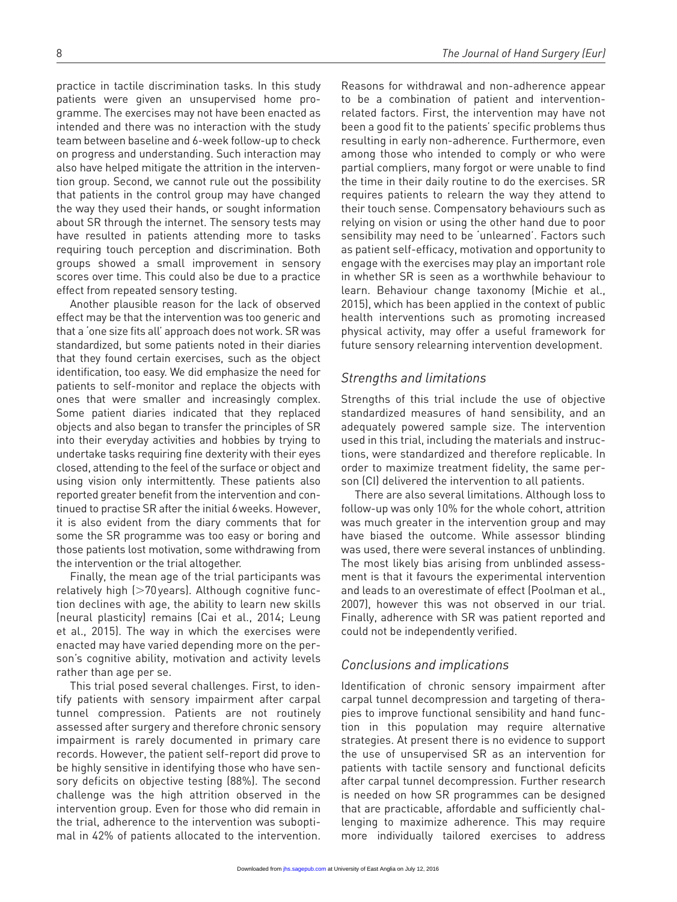practice in tactile discrimination tasks. In this study patients were given an unsupervised home programme. The exercises may not have been enacted as intended and there was no interaction with the study team between baseline and 6-week follow-up to check on progress and understanding. Such interaction may also have helped mitigate the attrition in the intervention group. Second, we cannot rule out the possibility that patients in the control group may have changed the way they used their hands, or sought information about SR through the internet. The sensory tests may have resulted in patients attending more to tasks requiring touch perception and discrimination. Both groups showed a small improvement in sensory scores over time. This could also be due to a practice effect from repeated sensory testing.

Another plausible reason for the lack of observed effect may be that the intervention was too generic and that a 'one size fits all' approach does not work. SR was standardized, but some patients noted in their diaries that they found certain exercises, such as the object identification, too easy. We did emphasize the need for patients to self-monitor and replace the objects with ones that were smaller and increasingly complex. Some patient diaries indicated that they replaced objects and also began to transfer the principles of SR into their everyday activities and hobbies by trying to undertake tasks requiring fine dexterity with their eyes closed, attending to the feel of the surface or object and using vision only intermittently. These patients also reported greater benefit from the intervention and continued to practise SR after the initial 6weeks. However, it is also evident from the diary comments that for some the SR programme was too easy or boring and those patients lost motivation, some withdrawing from the intervention or the trial altogether.

Finally, the mean age of the trial participants was relatively high (>70years). Although cognitive function declines with age, the ability to learn new skills (neural plasticity) remains (Cai et al., 2014; Leung et al., 2015). The way in which the exercises were enacted may have varied depending more on the person's cognitive ability, motivation and activity levels rather than age per se.

This trial posed several challenges. First, to identify patients with sensory impairment after carpal tunnel compression. Patients are not routinely assessed after surgery and therefore chronic sensory impairment is rarely documented in primary care records. However, the patient self-report did prove to be highly sensitive in identifying those who have sensory deficits on objective testing (88%). The second challenge was the high attrition observed in the intervention group. Even for those who did remain in the trial, adherence to the intervention was suboptimal in 42% of patients allocated to the intervention.

Reasons for withdrawal and non-adherence appear to be a combination of patient and interventionrelated factors. First, the intervention may have not been a good fit to the patients' specific problems thus resulting in early non-adherence. Furthermore, even among those who intended to comply or who were partial compliers, many forgot or were unable to find the time in their daily routine to do the exercises. SR requires patients to relearn the way they attend to their touch sense. Compensatory behaviours such as relying on vision or using the other hand due to poor sensibility may need to be 'unlearned'. Factors such as patient self-efficacy, motivation and opportunity to engage with the exercises may play an important role in whether SR is seen as a worthwhile behaviour to learn. Behaviour change taxonomy (Michie et al., 2015), which has been applied in the context of public health interventions such as promoting increased physical activity, may offer a useful framework for future sensory relearning intervention development.

#### *Strengths and limitations*

Strengths of this trial include the use of objective standardized measures of hand sensibility, and an adequately powered sample size. The intervention used in this trial, including the materials and instructions, were standardized and therefore replicable. In order to maximize treatment fidelity, the same person (CI) delivered the intervention to all patients.

There are also several limitations. Although loss to follow-up was only 10% for the whole cohort, attrition was much greater in the intervention group and may have biased the outcome. While assessor blinding was used, there were several instances of unblinding. The most likely bias arising from unblinded assessment is that it favours the experimental intervention and leads to an overestimate of effect (Poolman et al., 2007), however this was not observed in our trial. Finally, adherence with SR was patient reported and could not be independently verified.

## *Conclusions and implications*

Identification of chronic sensory impairment after carpal tunnel decompression and targeting of therapies to improve functional sensibility and hand function in this population may require alternative strategies. At present there is no evidence to support the use of unsupervised SR as an intervention for patients with tactile sensory and functional deficits after carpal tunnel decompression. Further research is needed on how SR programmes can be designed that are practicable, affordable and sufficiently challenging to maximize adherence. This may require more individually tailored exercises to address